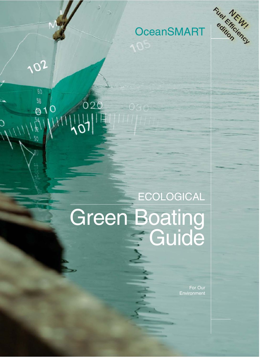

102

 $60$ 

54

50

 $\frac{58}{0010}$ 

020

# **OceanSMART**

# **ECOLOGICAL** Green Boating<br>
Guide

For Our Environment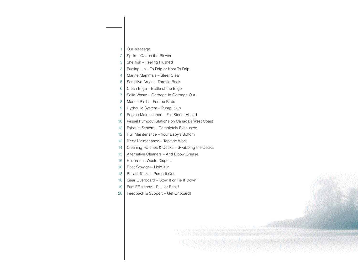- 1 Our Message
- $2 \mid$  Spills Get on the Blower
- 3 | Shellfish Feeling Flushed
- 3 Fueling Up To Drip or Knot To Drip
- 4 | Marine Mammals Steer Clear
- 5 Sensitive Areas Throttle Back
- 6 Clean Bilge Battle of the Bilge
- 7 Solid Waste Garbage In Garbage Out
- 8 | Marine Birds For the Birds
- 9 Hydraulic System Pump It Up
- 9 | Engine Maintenance Full Steam Ahead
- 10 | Vessel Pumpout Stations on Canada's West Coast
- 12 | Exhaust System Completely Exhausted
- 12 | Hull Maintenance Your Baby's Bottom
- 13 Deck Maintenance Topside Work
- 14 Cleaning Hatches & Decks Swabbing the Decks
- 15 Alternative Cleaners And Elbow Grease
- 16 | Hazardous Waste Disposal
- 18 | Boat Sewage Hold it in
- 18 | Ballast Tanks Pump It Out
- 18 Gear Overboard Stow It or Tie It Down!
- 19 | Fuel Efficiency Pull 'er Back!
- 20 | Feedback & Support Get Onboard!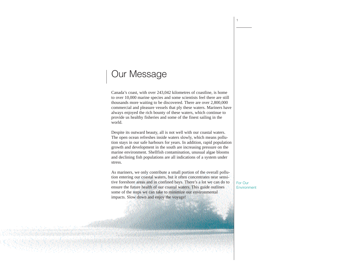# Our Message

Canada's coast, with over 243,042 kilometres of coastline, is home to over 10,000 marine species and some scientists feel there are still thousands more waiting to be discovered. There are over 2,800,000 commercial and pleasure vessels that ply these waters. Mariners have always enjoyed the rich bounty of these waters, which continue to provide us healthy fisheries and some of the finest sailing in the world.

Despite its outward beauty, all is not well with our coastal waters. The open ocean refreshes inside waters slowly, which means pollution stays in our safe harbours for years. In addition, rapid population growth and development in the south are increasing pressure on the marine environment. Shellfish contamination, unusual algae blooms and declining fish populations are all indications of a system under stress.

As mariners, we only contribute a small portion of the overall pollution entering our coastal waters, but it often concentrates near sensitive foreshore areas and in confined bays. There's a lot we can do to ensure the future health of our coastal waters. This guide outlines some of the steps we can take to minimize our environmental impacts. Slow down and enjoy the voyage!

For Our Environment

1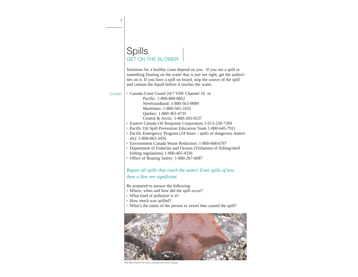### **Spills** GET ON THE BLOWER

Solutions for a healthy coast depend on you. If you see a spill or something floating on the water that is just not right, get the authorities on it. If you have a spill on board, stop the source of the spill and contain the liquid before it reaches the water.

Contact |

- <sup>l</sup> Canada Coast Guard 24/7 VHF Channel 16 or Pacific: 1-800-889-8852 Newfoundland: 1-800-563-9089 Maritimes: 1-800-565-1633 Quebec: 1-800-363-4735 Central & Arctic: 1-800-265-0237
	- Eastern Canada Oil Response Corporation 1-613-230-7369
	- Pacific Oil Spill Prevention Education Team 1-800-645-7911
	- Pacific Emergency Program (24 hours spills of dangerous materials): 1-800-663-3456
	- Environment Canada Waste Reduction: 1-800-668-6767
	- Department of Fisheries and Oceans (Violations of fishing/shell fishing regulations) 1-800-465-4336
	- Office of Boating Safety: 1-800-267-6687

#### *Report all spills that reach the water! Even spills of less than a litre are significant.*

Be prepared to answer the following:

- Where, when and how did the spill occur?
- What kind of pollution is it?
- How much was spilled?
- What's the name of the person or vessel that caused the spill?



Red Bat Starfish © Parks Canada and Anna Gajda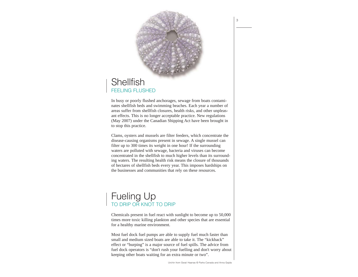

# **Shellfish** FFFI ING FLUSHED

In busy or poorly flushed anchorages, sewage from boats contaminates shellfish beds and swimming beaches. Each year a number of areas suffer from shellfish closures, health risks, and other unpleasant effects. This is no longer acceptable practice. New regulations (May 2007) under the Canadian Shipping Act have been brought in to stop this practice.

Clams, oysters and mussels are filter feeders, which concentrate the disease-causing organisms present in sewage. A single mussel can filter up to 300 times its weight in one hour! If the surrounding waters are polluted with sewage, bacteria and viruses can become concentrated in the shellfish to much higher levels than its surrounding waters. The resulting health risk means the closure of thousands of hectares of shellfish beds every year. This imposes hardships on the businesses and communities that rely on these resources.

# Fueling Up TO DRIP OR KNOT TO DRIP

Chemicals present in fuel react with sunlight to become up to 50,000 times more toxic killing plankton and other species that are essential for a healthy marine environment.

Most fuel dock fuel pumps are able to supply fuel much faster than small and medium sized boats are able to take it. The "kickback" effect or "burping" is a major source of fuel spills. The advice from fuel dock operators is "don't rush your fuelling and don't worry about keeping other boats waiting for an extra minute or two".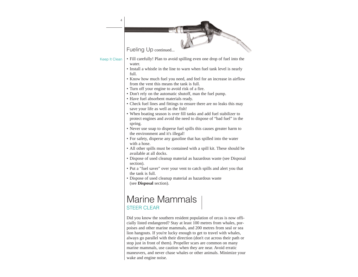| $\overline{4}$ |                                                                                                                                                                                                                                                                                                                                                                                                                                                                                                                                                                                                                                                                                                                                                                                                                                                                                                                                                                                                                                                                                                                                                                                                                                                                                                                   |
|----------------|-------------------------------------------------------------------------------------------------------------------------------------------------------------------------------------------------------------------------------------------------------------------------------------------------------------------------------------------------------------------------------------------------------------------------------------------------------------------------------------------------------------------------------------------------------------------------------------------------------------------------------------------------------------------------------------------------------------------------------------------------------------------------------------------------------------------------------------------------------------------------------------------------------------------------------------------------------------------------------------------------------------------------------------------------------------------------------------------------------------------------------------------------------------------------------------------------------------------------------------------------------------------------------------------------------------------|
|                | Fueling Up continued                                                                                                                                                                                                                                                                                                                                                                                                                                                                                                                                                                                                                                                                                                                                                                                                                                                                                                                                                                                                                                                                                                                                                                                                                                                                                              |
| Keep It Clean  | • Fill carefully! Plan to avoid spilling even one drop of fuel into the<br>water.<br>• Install a whistle in the line to warn when fuel tank level is nearly<br>full.<br>• Know how much fuel you need, and feel for an increase in airflow<br>from the vent this means the tank is full.<br>• Turn off your engine to avoid risk of a fire.<br>• Don't rely on the automatic shutoff, man the fuel pump.<br>• Have fuel absorbent materials ready.<br>• Check fuel lines and fittings to ensure there are no leaks this may<br>save your life as well as the fish!<br>• When boating season is over fill tanks and add fuel stabilizer to<br>protect engines and avoid the need to dispose of "bad fuel" in the<br>spring.<br>• Never use soap to disperse fuel spills this causes greater harm to<br>the environment and it's illegal!<br>• For safety, disperse any gasoline that has spilled into the water<br>with a hose.<br>• All other spills must be contained with a spill kit. These should be<br>available at all docks.<br>· Dispose of used cleanup material as hazardous waste (see Disposal<br>section).<br>• Put a "fuel saver" over your vent to catch spills and alert you that<br>the tank is full.<br>• Dispose of used cleanup material as hazardous waste<br>(see <b>Disposal</b> section). |
|                | Marine Mammals<br><b>STEER CLEAR</b>                                                                                                                                                                                                                                                                                                                                                                                                                                                                                                                                                                                                                                                                                                                                                                                                                                                                                                                                                                                                                                                                                                                                                                                                                                                                              |
|                | Did you know the southern resident population of orcas is now offi-<br>cially listed endangered? Stay at least 100 metres from whales, por-<br>poises and other marine mammals, and 200 metres from seal or sea<br>lion hangouts. If you're lucky enough to get to travel with whales,<br>always go parallel with their direction (don't cut across their path or<br>stop just in front of them). Propeller scars are common on many                                                                                                                                                                                                                                                                                                                                                                                                                                                                                                                                                                                                                                                                                                                                                                                                                                                                              |

marine mammals, use caution when they are near. Avoid erratic maneuvers, and never chase whales or other animals. Minimize your wake and engine noise.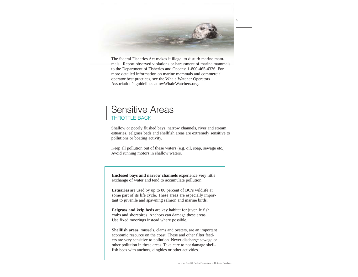The federal Fisheries Act makes it illegal to disturb marine mammals. Report observed violations or harassment of marine mammals to the Department of Fisheries and Oceans: 1-800-465-4336. For more detailed information on marine mammals and commercial operator best practices, see the Whale Watcher Operators Association's guidelines at nwWhaleWatchers.org.

### Sensitive Areas THROTTLE BACK

Shallow or poorly flushed bays, narrow channels, river and stream estuaries, eelgrass beds and shellfish areas are extremely sensitive to pollutions or boating activity.

Keep all pollution out of these waters (e.g. oil, soap, sewage etc.). Avoid running motors in shallow waters.

**Enclosed bays and narrow channels** experience very little exchange of water and tend to accumulate pollution.

**Estuaries** are used by up to 80 percent of BC's wildlife at some part of its life cycle. These areas are especially important to juvenile and spawning salmon and marine birds.

**Eelgrass and kelp beds** are key habitat for juvenile fish, crabs and shorebirds. Anchors can damage these areas. Use fixed moorings instead where possible.

**Shellfish areas**, mussels, clams and oysters, are an important economic resource on the coast. These and other filter feeders are very sensitive to pollution. Never discharge sewage or other pollution in these areas. Take care to not damage shellfish beds with anchors, dinghies or other activities.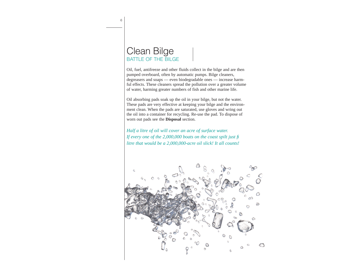### Clean Bilge BATTLE OF THE BILGE

Oil, fuel, antifreeze and other fluids collect in the bilge and are then pumped overboard, often by automatic pumps. Bilge cleaners, degreasers and soaps — even biodegradable ones — increase harmful effects. These cleaners spread the pollution over a greater volume of water, harming greater numbers of fish and other marine life.

Oil absorbing pads soak up the oil in your bilge, but not the water. These pads are very effective at keeping your bilge and the environment clean. When the pads are saturated, use gloves and wring out the oil into a container for recycling. Re-use the pad. To dispose of worn out pads see the **Disposal** section.

*Half a litre of oil will cover an acre of surface water.* If every one of the 2,000,000 boats on the coast spilt just fi *litre that would be a 2,000,000-acre oil slick! It all counts!*

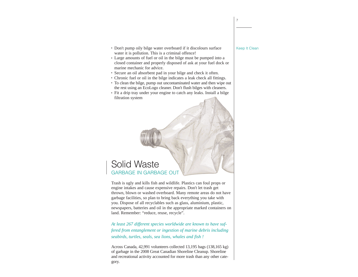- Don't pump oily bilge water overboard if it discolours surface water it is pollution. This is a criminal offence!
- Large amounts of fuel or oil in the bilge must be pumped into a closed container and properly disposed of ask at your fuel dock or marine mechanic for advice.
- Secure an oil absorbent pad in your bilge and check it often.
- <sup>l</sup> Chronic fuel or oil in the bilge indicates a leak check all fittings.
- To clean the bilge, pump out uncontaminated water and then wipe out the rest using an EcoLogo cleaner. Don't flush bilges with cleaners.
- Fit a drip tray under your engine to catch any leaks. Install a bilge filtration system

# Solid Waste GARBAGE IN GARBAGE OUT

Trash is ugly and kills fish and wildlife. Plastics can foul props or engine intakes and cause expensive repairs. Don't let trash get thrown, blown or washed overboard. Many remote areas do not have garbage facilities, so plan to bring back everything you take with you. Dispose of all recyclables such as glass, aluminium, plastic, newspapers, batteries and oil in the appropriate marked containers on land. Remember: "reduce, reuse, recycle".

*At least 267 different species worldwide are known to have suffered from entanglement or ingestion of marine debris including seabirds, turtles, seals, sea lions, whales and fish !*

Across Canada, 42,991 volunteers collected 13,195 bags (138,165 kg) of garbage in the 2008 Great Canadian Shoreline Cleanup. Shoreline and recreational activity accounted for more trash than any other category.

#### Keep It Clean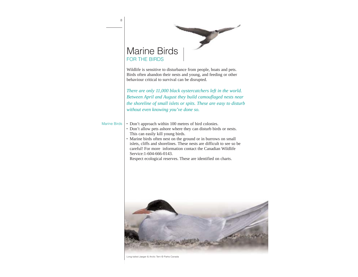# Marine Birds FOR THE BIRDS Wildlife is sensitive to disturbance from people, boats and pets. Birds often abandon their nests and young, and feeding or other behaviour critical to survival can be disrupted. *There are only 11,000 black oystercatchers left in the world. Between April and August they build camouflaged nests near the shoreline of small islets or spits. These are easy to disturb without even knowing you've done so.* • Don't approach within 100 metres of bird colonies. • Don't allow pets ashore where they can disturb birds or nests. This can easily kill young birds. • Marine birds often nest on the ground or in burrows on small islets, cliffs and shorelines. These nests are difficult to see so be careful! For more information contact the Canadian Wildlife Service:1-604-666-0143. Respect ecological reserves. These are identified on charts. Marine Birds 8



Long-tailed Jaeger & Arctic Tern © Parks Canada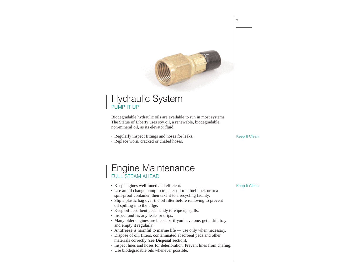# Hydraulic System PUMP IT UP

Biodegradable hydraulic oils are available to run in most systems. The Statue of Liberty uses soy oil, a renewable, biodegradable, non-mineral oil, as its elevator fluid.

- Regularly inspect fittings and hoses for leaks.
- Replace worn, cracked or chafed hoses.

# Engine Maintenance FULL STEAM AHEAD

- Keep engines well-tuned and efficient.
- <sup>l</sup> Use an oil change pump to transfer oil to a fuel dock or to a spill-proof container, then take it to a recycling facility.
- Slip a plastic bag over the oil filter before removing to prevent oil spilling into the bilge.
- Keep oil-absorbent pads handy to wipe up spills.
- Inspect and fix any leaks or drips.
- Many older engines are bleeders; if you have one, get a drip tray and empty it regularly.
- Antifreeze is harmful to marine life use only when necessary.
- Dispose of oil, filters, contaminated absorbent pads and other materials correctly (see **Disposal** section).
- $\cdot$  Inspect lines and hoses for deterioration. Prevent lines from chafing.
- Use biodegradable oils whenever possible.

Keep It Clean

Keep It Clean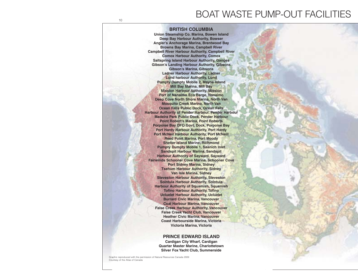# **BOAT WASTE PUI**

#### **BRITISH COLUMBIA**

**Union Steamship Co. Marina, Bowen Island Deep Bay Harbour Authority, Bowser Angler's Anchorage Marina, Brentwood Bay Browns Bay Marina, Campbell River Campbell River Harbour Authority, Campbell River Comox Harbour Authority, Comox Saltspring Island Harbour Authority, Ganges Gibson's Landing Harbour Authority, Gibsons Gibson's Marina, Gibsons Ladner Harbour Authority, Ladner Lund harbour Authority, Lund Pumpty Dumpty Mobile 2, Mayne Island Mill Bay Marina, Mill Bay Mission Harbour Authority, Mission Port of Nanaimo Eco Barge, Nanaimo Deep Cove North Shore Marina, North Van Mosquito Creek Marina, North Van Ocean Falls Public Dock, Ocean Falls Harbour Authority of Pender Harbour, Pender Harbour Madeira Park Public Dock, Pender Harbour Point Robert's Marina, Point Roberts Porpoise Bay DFO Govt. Dock, Porpoise Bay Port Hardy Harbour Authority, Port Hardy Port McNeil Harbour Authority, Port McNeill Reed Point Marina, Port Moody Shelter Island Marine, Richmond Pumpty Dumpty Mobile 1, Saanich Inlet Sandspit Harbour Marina, Sandspit Harbour Authority of Sayward, Sayward Fairwinds Schooner Cove Marina, Schooner Cove Port Sidney Marina, Sidney Tsehum Harbour Authority, Sidney Van Isle Marina, Sidney Steveston Harbour Authority, Steveston Sointula Harbour Authority, Sointula Harbour Authority of Squamish, Squamish Tofino Harbour Authority, Tofino Ucluelet Harbour Authority, Ucluelet Burrard Civic Marina, Vancouver Coal Harbour Marina, Vancouver False Creek Harbour Authority, Vancouver False Creek Yacht Club, Vancouver Heather Civic Marina, Vancouver Coast Harbourside Marina, Victoria Victoria Marina, Victoria**

#### **PRINCE EDWARD ISLAND**

**Cardigan City Wharf, Cardigan Quarter Master Marine, Charlottetown Silver Fox Yacht Club, Summerside**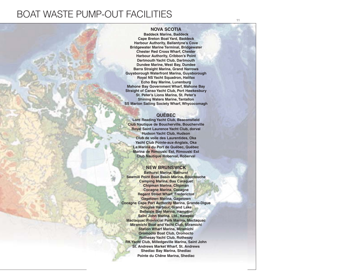# **MP-OUT FACILITIES**

#### **NOVA SCOTIA**

**Baddeck Marine, Baddeck Cape Breton Boat Yard, Baddeck Harbour Authority, Ballantyne's Cove Bridgewater Marine Terminal, Bridgewater Chester Red Cross Wharf, Chester Harbour Authority, Cribbon's Point Dartmouth Yacht Club, Dartmouth Dundee Marine, West Bay, Dundee Barra Straight Marina, Grand Narrows Guysborough Waterfront Marina, Guysborough Royal NS Yacht Squadron, Halifax Echo Bay Marine, Lunenburg Mahone Bay Government Wharf, Mahone Bay Straight of Canso Yacht Club, Port Hawkesbury St. Peter's Lions Marina, St. Peter's Shining Waters Marine, Tantallon SS Marion Sailing Society Wharf, Whycocomagh**

#### **QUÉBEC**

**Lord Reading Yacht Club, Beaconsfield Club Nautique de Boucherville, Boucherville Royal Saint Laurence Yacht Club, dorval Hudson Yacht Club, Hudson Club de voile des Laurentides, Oka Yacht Club Pointe-aux-Anglais, Oka La Marina du Port de Québec, Québec Marina de Rimouski Est, Rimouski Est Club Nautique Roberval, Roberval** 

#### **NEW BRUNSWICK**

**Bathurst Marina, Bathurst Sawmill Point Boat Basin Marina, Bouctouche Camping Marina, Bas Caraquet Chipman Marina, Chipman Cocagne Marina, Cocagne Regent Street Wharf, Fredericton Gagetown Marina, Gagetown Cocagne Cape Port Authority Marina, Grande-Digue Douglas Harbour, Grand Lake Belleisle Bay Marina, Hampton Saint John Marina, Ltd., Ketepec Mactaquac Provincial Park Marina, Mactaquac Miramichi Boat and Yacht Club, Miramichi Station Wharf Marina, Miramichi Oromocto Boat Club, Oromocto Rothesay Yacht Club, Rothesay RK Yacht Club, Milledgeville Marina, Saint John St. Andrews Market Wharf, St. Andrews Shediac Bay Marina, Shediac Pointe du Chêne Marina, Shediac**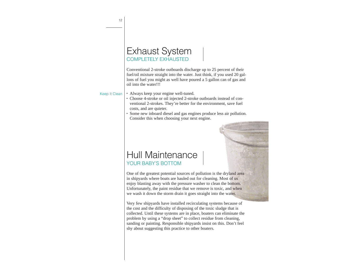| <b>Exhaust System</b> |
|-----------------------|
| COMPLETELY EXHAUSTED  |

Conventional 2-stroke outboards discharge up to 25 percent of their fuel/oil mixture straight into the water. Just think, if you used 20 gallons of fuel you might as well have poured a 5 gallon can of gas and oil into the water!!!

#### Keep It Clean

- Always keep your engine well-tuned.
- <sup>l</sup> Choose 4-stroke or oil injected 2-stroke outboards instead of conventional 2-strokes. They're better for the environment, save fuel costs, and are quieter.
- Some new inboard diesel and gas engines produce less air pollution. Consider this when choosing your next engine.

### Hull Maintenance YOUR BABY'S BOTTOM

One of the greatest potential sources of pollution is the dryland area in shipyards where boats are hauled out for cleaning. Most of us enjoy blasting away with the pressure washer to clean the bottom. Unfortunately, the paint residue that we remove is toxic, and when we wash it down the storm drain it goes straight into the water.

Very few shipyards have installed recirculating systems because of the cost and the difficulty of disposing of the toxic sludge that is collected. Until these systems are in place, boaters can eliminate the problem by using a "drop sheet" to collect residue from cleaning, sanding or painting. Responsible shipyards insist on this. Don't feel shy about suggesting this practice to other boaters.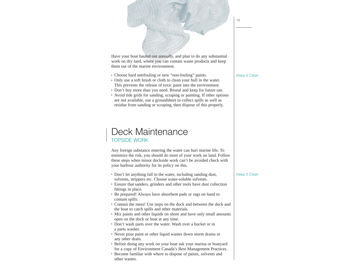

- Choose hard antifouling or new "non-fouling" paints.
- Only use a soft brush or cloth to clean your hull in the water. This prevents the release of toxic paint into the environment.
- Don't buy more than you need. Reseal and keep for future use.
- Avoid tide grids for sanding, scraping or painting. If other options are not available, use a groundsheet to collect spills as well as residue from sanding or scraping, then dispose of this properly.

### Deck Maintenance TOPSIDE WORK

Any foreign substance entering the water can hurt marine life. To minimize the risk, you should do most of your work on land. Follow these steps when minor dockside work can't be avoided check with your harbour authority for its policy on this.

- Don't let anything fall in the water, including sanding dust, solvents, strippers etc. Choose water-soluble solvents.
- Ensure that sanders, grinders and other tools have dust collection fittings in place.
- Be prepared! Always have absorbent pads or rags on hand to contain spills.
- Contain the mess! Use tarps on the dock and between the dock and the boat to catch spills and other materials.
- Mix paints and other liquids on shore and have only small amounts open on the dock or boat at any time.
- Don't wash parts over the water. Wash over a bucket or in a parts washer.
- Never pour paint or other liquid wastes down storm drains or any other drain.
- Before doing any work on your boat ask your marina or boatyard for a copy of Environment Canada's Best Management Practices.
- Become familiar with where to dispose of paints, solvents and other wastes.

13

#### Keep It Clean

Keep It Clean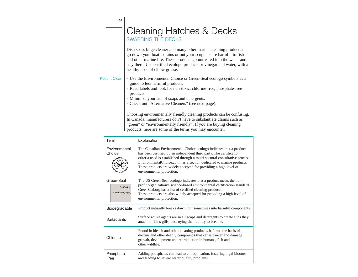|               | <b>Cleaning Hatches &amp; Decks</b><br>SWABBING THE DECKS                                                                                                                                                                                                                                                                         |
|---------------|-----------------------------------------------------------------------------------------------------------------------------------------------------------------------------------------------------------------------------------------------------------------------------------------------------------------------------------|
|               | Dish soap, bilge cleaner and many other marine cleaning products that<br>go down your boat's drains or out your scuppers are harmful to fish<br>and other marine life. These products go untreated into the water and<br>stay there. Use certified ecologo products or vinegar and water, with a<br>healthy dose of elbow grease. |
| Keep It Clean | • Use the Environmental Choice or Green-Seal ecologo symbols as a<br>guide to less harmful products.                                                                                                                                                                                                                              |

- Read labels and look for non-toxic, chlorine-free, phosphate-free products.
- Minimize your use of soaps and detergents.

 $14$ 

• Check out "Alternative Cleaners" (see next page).

Choosing environmentally friendly cleaning products can be confusing. In Canada, manufacturers don't have to substantiate claims such as "green" or "environmentally friendly". If you are buying cleaning products, here are some of the terms you may encounter.

| Term                                           | Explanation                                                                                                                                                                                                                                                                                                                                                                                       |
|------------------------------------------------|---------------------------------------------------------------------------------------------------------------------------------------------------------------------------------------------------------------------------------------------------------------------------------------------------------------------------------------------------------------------------------------------------|
| Environmental<br>Choice                        | The Canadian Environmental Choice ecologo indicates that a product<br>has been certified by an independent third party. The certification<br>criteria used is established through a multi-sectoral consultative process.<br>Environmental Choice.com has a section dedicated to marine products.<br>These products are widely accepted for providing a high level of<br>environmental protection. |
| Green-Seal<br>PostScript I<br>GreenSeal_Logo_I | The US Green-Seal ecologo indicates that a product meets the non-<br>profit organization's science-based environmental certification standard.<br>GreenSeal.org has a list of certified cleaning products.<br>These products are also widely accepted for providing a high level of<br>environmental protection.                                                                                  |
| Biodegradable                                  | Product naturally breaks down, but sometimes into harmful components.                                                                                                                                                                                                                                                                                                                             |
| Surfactants                                    | Surface active agents are in all soaps and detergents to create suds they<br>attach to fish's gills, destroying their ability to breathe.                                                                                                                                                                                                                                                         |
| Chlorine                                       | Found in bleach and other cleaning products, it forms the basis of<br>dioxins and other deadly compounds that cause cancer and damage<br>growth, development and reproduction in humans, fish and<br>other wildlife.                                                                                                                                                                              |
| Phosphate-<br>Free                             | Adding phosphates can lead to eutrophication, fostering algal blooms<br>and leading to severe water quality problems.                                                                                                                                                                                                                                                                             |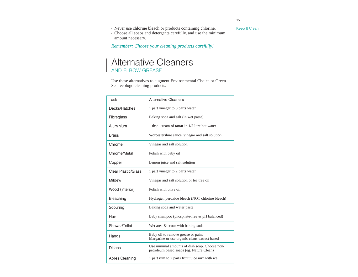Keep It Clean

15

- Never use chlorine bleach or products containing chlorine.
- Choose all soaps and detergents carefully, and use the minimum amount necessary.

*Remember: Choose your cleaning products carefully!*

# Alternative Cleaners AND ELBOW GREASE

Use these alternatives to augment Environmental Choice or Green Seal ecologo cleaning products.

| Task                | <b>Alternative Cleaners</b>                                                               |  |  |
|---------------------|-------------------------------------------------------------------------------------------|--|--|
| Decks/Hatches       | 1 part vinegar to 8 parts water                                                           |  |  |
| Fibreglass          | Baking soda and salt (in wet paste)                                                       |  |  |
| Aluminium           | 1 tbsp. cream of tartar in 1/2 litre hot water                                            |  |  |
| <b>Brass</b>        | Worcestershire sauce, vinegar and salt solution                                           |  |  |
| Chrome              | Vinegar and salt solution                                                                 |  |  |
| Chrome/Metal        | Polish with baby oil                                                                      |  |  |
| Copper              | Lemon juice and salt solution                                                             |  |  |
| Clear Plastic/Glass | 1 part vinegar to 2 parts water                                                           |  |  |
| Mildew              | Vinegar and salt solution or tea tree oil                                                 |  |  |
| Wood (interior)     | Polish with olive oil                                                                     |  |  |
| Bleaching           | Hydrogen peroxide bleach (NOT chlorine bleach)                                            |  |  |
| Scouring            | Baking soda and water paste                                                               |  |  |
| Hair                | Baby shampoo (phosphate-free & pH balanced)                                               |  |  |
| Shower/Toilet       | Wet area & scour with baking soda                                                         |  |  |
| Hands               | Baby oil to remove grease or paint<br>Margarine or use organic citrus extract based       |  |  |
| <b>Dishes</b>       | Use minimal amounts of dish soap. Choose non-<br>petroleum based soaps (eg. Nature Clean) |  |  |
| Aprés Cleaning      | 1 part rum to 2 parts fruit juice mix with ice                                            |  |  |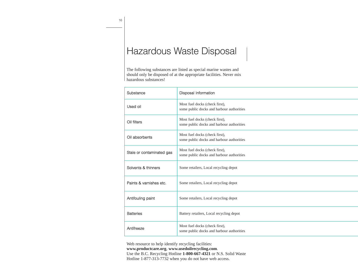# Hazardous Waste Disposal

The following substances are listed as special marine wastes and should only be disposed of at the appropriate facilities. Never mix hazardous substances!

| Substance                 | Disposal Information                                                        |  |
|---------------------------|-----------------------------------------------------------------------------|--|
| Used oil                  | Most fuel docks (check first),<br>some public docks and harbour authorities |  |
| Oil filters               | Most fuel docks (check first),<br>some public docks and harbour authorities |  |
| Oil absorbents            | Most fuel docks (check first),<br>some public docks and harbour authorities |  |
| Stale or contaminated gas | Most fuel docks (check first),<br>some public docks and harbour authorities |  |
| Solvents & thinners       | Some retailers, Local recycling depot                                       |  |
| Paints & varnishes etc.   | Some retailers, Local recycling depot                                       |  |
| Antifouling paint         | Some retailers, Local recycling depot                                       |  |
| <b>Batteries</b>          | Battery retailers, Local recycling depot                                    |  |
| Antifreeze                | Most fuel docks (check first),<br>some public docks and harbour authorities |  |

Web resource to help identify recycling facilities: **www.productcare.org**, **www.usedoilrecycling.com**. Use the B.C. Recycling Hotline **1-800-667-4321** or N.S. Solid Waste Hotline 1-877-313-7732 when you do not have web access.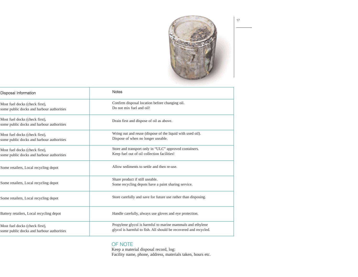

| <b>Notes</b>                                                                                                                   |
|--------------------------------------------------------------------------------------------------------------------------------|
| Confirm disposal location before changing oil.                                                                                 |
| Do not mix fuel and oil!                                                                                                       |
| Drain first and dispose of oil as above.                                                                                       |
| Wring out and reuse (dispose of the liquid with used oil).                                                                     |
| Dispose of when no longer useable.                                                                                             |
| Store and transport only in "ULC" approved containers.                                                                         |
| Keep fuel out of oil collection facilities!                                                                                    |
| Allow sediments to settle and then re-use.                                                                                     |
| Share product if still useable.                                                                                                |
| Some recycling depots have a paint sharing service.                                                                            |
| Store carefully and save for future use rather than disposing.                                                                 |
| Handle carefully, always use gloves and eye protection.                                                                        |
| Propylene glycol is harmful to marine mammals and ethylene<br>glycol is harmful to fish. All should be recovered and recycled. |
|                                                                                                                                |

#### OF NOTE

Keep a material disposal record, log: Facility name, phone, address, materials taken, hours etc.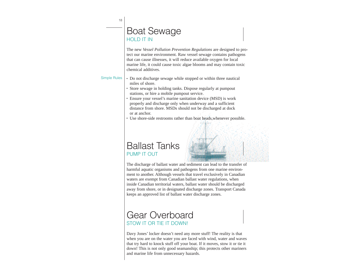18

# Boat Sewage HOLD IT IN

The new *Vessel Pollution Prevention Regulations* are designed to protect our marine environment. Raw vessel sewage contains pathogens that can cause illnesses, it will reduce available oxygen for local marine life, it could cause toxic algae blooms and may contain toxic chemical additives.

#### Simple Rules

- Do not discharge sewage while stopped or within three nautical miles of shore.
- Store sewage in holding tanks. Dispose regularly at pumpout stations, or hire a mobile pumpout service.
- Ensure your vessel's marine sanitation device (MSD) is work properly and discharge only when underway and a sufficient distance from shore. MSDs should not be discharged at dock or at anchor.
- Use shore-side restrooms rather than boat heads, whenever possible.

# Ballast Tanks PUMP IT OUT

The discharge of ballast water and sediment can lead to the transfer of harmful aquatic organisms and pathogens from one marine environment to another. Although vessels that travel exclusively in Canadian waters are exempt from Canadian ballast water regulations, when inside Canadian territorial waters, ballast water should be discharged away from shore, or in designated discharge zones. Transport Canada keeps an approved list of ballast water discharge zones.

# Gear Overboard STOW IT OR TIE IT DOWN!

Davy Jones' locker doesn't need any more stuff! The reality is that when you are on the water you are faced with wind, water and waves that try hard to knock stuff off your boat. If it moves, stow it or tie it down! This is not only good seamanship; this protects other mariners and marine life from unnecessary hazards.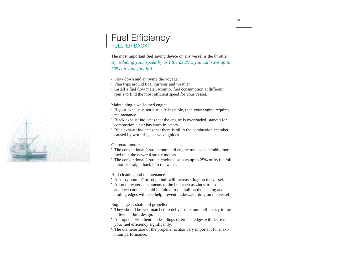### Fuel Efficiency PULL 'ER BACK!

The most important fuel saving device on any vessel is the throttle.

*By reducing your speed by as little as 25% you can save up to 50% on your fuel bill.* 

- Slow down and enjoying the voyage!
- Plan trips around tidal currents and weather
- Install a fuel flow meter. Monitor fuel consumption at different rpm's to find the most efficient speed for your vessel.

#### Maintaining a well-tuned engine

- If your exhaust is not virtually invisible, then your engine requires maintenance.
- Black exhaust indicates that the engine is overloaded, starved for combustion air or has worn injectors.
- <sup>l</sup> Blue exhaust indicates that there is oil in the combustion chamber caused by worn rings or valve guides.

#### Outboard motors

- The conventional 2-stroke outboard engine uses considerably more fuel than the newer 4 stroke motors.
- The conventional 2-stroke engine also puts up to 25% of its fuel/oil mixture straight back into the water.

#### Hull cleaning and maintenance

- A "dirty bottom" or rough hull will increase drag on the vessel.
- All underwater attachments to the hull such as zincs, transducers and keel coolers should be faired to the hull on the leading and trailing edges will also help prevent underwater drag on the vessel.

Engine, gear, shaft and propeller

- They should be well matched to deliver maximum efficiency to the individual hull design.
- A propeller with bent blades, dings or eroded edges will decrease your fuel efficiency significantly.
- The diameter size of the propeller is also very important for maximum performance.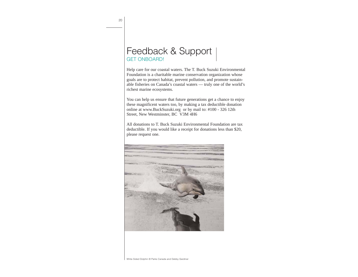# Feedback & Support GET ONBOARD!

Help care for our coastal waters. The T. Buck Suzuki Environmental Foundation is a charitable marine conservation organization whose goals are to protect habitat, prevent pollution, and promote sustainable fisheries on Canada's coastal waters — truly one of the world's richest marine ecosystems.

You can help us ensure that future generations get a chance to enjoy these magnificent waters too, by making a tax deductible donation online at www.BuckSuzuki.org or by mail to: #100 - 326 12th Street, New Westminster, BC V3M 4H6

All donations to T. Buck Suzuki Environmental Foundation are tax deductible. If you would like a receipt for donations less than \$20, please request one.

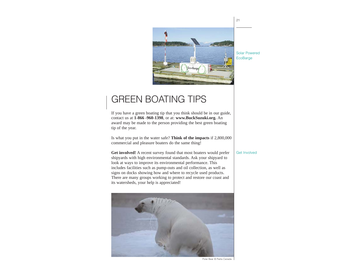

# GREEN BOATING TIPS

If you have a green boating tip that you think should be in our guide, contact us at **1-866 -960-1398**, or at: **www.BuckSuzuki.org.** An award may be made to the person providing the best green boating tip of the year.

Is what you put in the water safe? **Think of the impacts** if 2,800,000 commercial and pleasure boaters do the same thing!

**Get involved!** A recent survey found that most boaters would prefer shipyards with high environmental standards. Ask your shipyard to look at ways to improve its environmental performance. This includes facilities such as pump-outs and oil collection, as well as signs on docks showing how and where to recycle used products. There are many groups working to protect and restore our coast and its watersheds, your help is appreciated!



#### Solar Powered **EcoBarge**

Get Involved

Polar Bear © Parks Canada